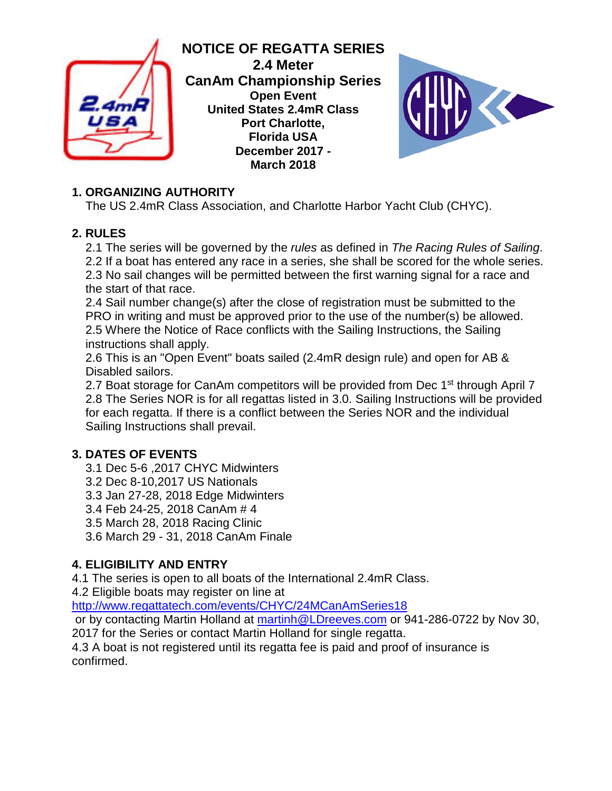

**NOTICE OF REGATTA SERIES 2.4 Meter CanAm Championship Series Open Event United States 2.4mR Class Port Charlotte, Florida USA December 2017 - March 2018**



# **1. ORGANIZING AUTHORITY**

The US 2.4mR Class Association, and Charlotte Harbor Yacht Club (CHYC).

## **2. RULES**

2.1 The series will be governed by the *rules* as defined in *The Racing Rules of Sailing*. 2.2 If a boat has entered any race in a series, she shall be scored for the whole series. 2.3 No sail changes will be permitted between the first warning signal for a race and the start of that race.

2.4 Sail number change(s) after the close of registration must be submitted to the PRO in writing and must be approved prior to the use of the number(s) be allowed. 2.5 Where the Notice of Race conflicts with the Sailing Instructions, the Sailing instructions shall apply.

2.6 This is an "Open Event" boats sailed (2.4mR design rule) and open for AB & Disabled sailors.

2.7 Boat storage for CanAm competitors will be provided from Dec 1<sup>st</sup> through April 7 2.8 The Series NOR is for all regattas listed in 3.0. Sailing Instructions will be provided for each regatta. If there is a conflict between the Series NOR and the individual Sailing Instructions shall prevail.

# **3. DATES OF EVENTS**

- 3.1 Dec 5-6 ,2017 CHYC Midwinters
- 3.2 Dec 8-10,2017 US Nationals
- 3.3 Jan 27-28, 2018 Edge Midwinters
- 3.4 Feb 24-25, 2018 CanAm # 4
- 3.5 March 28, 2018 Racing Clinic
- 3.6 March 29 31, 2018 CanAm Finale

# **4. ELIGIBILITY AND ENTRY**

4.1 The series is open to all boats of the International 2.4mR Class.

4.2 Eligible boats may register on line at

<http://www.regattatech.com/events/CHYC/24MCanAmSeries18>

or by contacting Martin Holland at martinh@LDreeves.com or 941-286-0722 by Nov 30,

2017 for the Series or contact Martin Holland for single regatta.

4.3 A boat is not registered until its regatta fee is paid and proof of insurance is confirmed.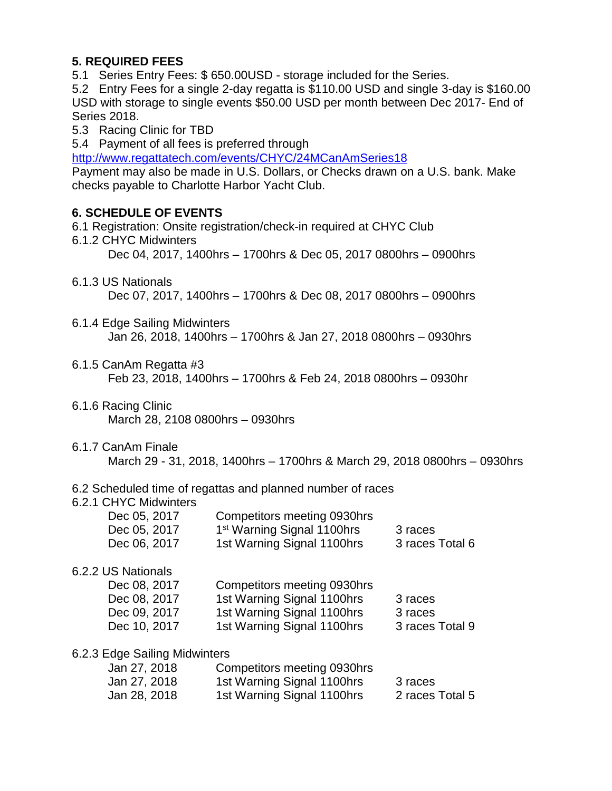## **5. REQUIRED FEES**

5.1 Series Entry Fees: \$ 650.00USD - storage included for the Series.

5.2 Entry Fees for a single 2-day regatta is \$110.00 USD and single 3-day is \$160.00 USD with storage to single events \$50.00 USD per month between Dec 2017- End of Series 2018.

- 5.3 Racing Clinic for TBD
- 5.4 Payment of all fees is preferred through

<http://www.regattatech.com/events/CHYC/24MCanAmSeries18>

Payment may also be made in U.S. Dollars, or Checks drawn on a U.S. bank. Make checks payable to Charlotte Harbor Yacht Club.

## **6. SCHEDULE OF EVENTS**

- 6.1 Registration: Onsite registration/check-in required at CHYC Club
- 6.1.2 CHYC Midwinters

Dec 04, 2017, 1400hrs – 1700hrs & Dec 05, 2017 0800hrs – 0900hrs

6.1.3 US Nationals

Dec 07, 2017, 1400hrs – 1700hrs & Dec 08, 2017 0800hrs – 0900hrs

6.1.4 Edge Sailing Midwinters

Jan 26, 2018, 1400hrs – 1700hrs & Jan 27, 2018 0800hrs – 0930hrs

6.1.5 CanAm Regatta #3

Feb 23, 2018, 1400hrs – 1700hrs & Feb 24, 2018 0800hrs – 0930hr

- 6.1.6 Racing Clinic March 28, 2108 0800hrs – 0930hrs
- 6.1.7 CanAm Finale March 29 - 31, 2018, 1400hrs – 1700hrs & March 29, 2018 0800hrs – 0930hrs

#### 6.2 Scheduled time of regattas and planned number of races

#### 6.2.1 CHYC Midwinters

| Dec 05, 2017 | Competitors meeting 0930hrs            |                 |
|--------------|----------------------------------------|-----------------|
| Dec 05, 2017 | 1 <sup>st</sup> Warning Signal 1100hrs | 3 races         |
| Dec 06, 2017 | 1st Warning Signal 1100hrs             | 3 races Total 6 |

#### 6.2.2 US Nationals

| Dec 08, 2017 | Competitors meeting 0930hrs |                 |
|--------------|-----------------------------|-----------------|
| Dec 08, 2017 | 1st Warning Signal 1100hrs  | 3 races         |
| Dec 09, 2017 | 1st Warning Signal 1100hrs  | 3 races         |
| Dec 10, 2017 | 1st Warning Signal 1100hrs  | 3 races Total 9 |

#### 6.2.3 Edge Sailing Midwinters

| Jan 27, 2018 | Competitors meeting 0930hrs |                 |
|--------------|-----------------------------|-----------------|
| Jan 27, 2018 | 1st Warning Signal 1100hrs  | 3 races         |
| Jan 28, 2018 | 1st Warning Signal 1100hrs  | 2 races Total 5 |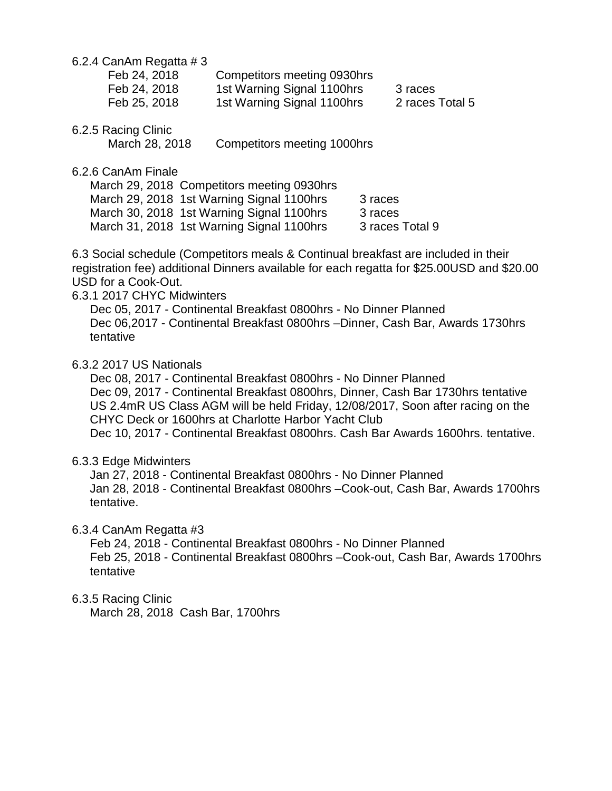6.2.4 CanAm Regatta # 3

| Feb 24, 2018 | Competitors meeting 0930hrs |                 |
|--------------|-----------------------------|-----------------|
| Feb 24, 2018 | 1st Warning Signal 1100hrs  | 3 races         |
| Feb 25, 2018 | 1st Warning Signal 1100hrs  | 2 races Total 5 |

6.2.5 Racing Clinic

March 28, 2018 Competitors meeting 1000hrs

6.2.6 CanAm Finale

March 29, 2018 Competitors meeting 0930hrs March 29, 2018 1st Warning Signal 1100hrs 3 races March 30, 2018 1st Warning Signal 1100hrs 3 races<br>March 31. 2018 1st Warning Signal 1100hrs 3 races Total 9 March 31, 2018 1st Warning Signal 1100hrs

6.3 Social schedule (Competitors meals & Continual breakfast are included in their registration fee) additional Dinners available for each regatta for \$25.00USD and \$20.00 USD for a Cook-Out.

#### 6.3.1 2017 CHYC Midwinters

Dec 05, 2017 - Continental Breakfast 0800hrs - No Dinner Planned Dec 06,2017 - Continental Breakfast 0800hrs –Dinner, Cash Bar, Awards 1730hrs tentative

#### 6.3.2 2017 US Nationals

Dec 08, 2017 - Continental Breakfast 0800hrs - No Dinner Planned Dec 09, 2017 - Continental Breakfast 0800hrs, Dinner, Cash Bar 1730hrs tentative US 2.4mR US Class AGM will be held Friday, 12/08/2017, Soon after racing on the CHYC Deck or 1600hrs at Charlotte Harbor Yacht Club Dec 10, 2017 - Continental Breakfast 0800hrs. Cash Bar Awards 1600hrs. tentative.

#### 6.3.3 Edge Midwinters

Jan 27, 2018 - Continental Breakfast 0800hrs - No Dinner Planned Jan 28, 2018 - Continental Breakfast 0800hrs –Cook-out, Cash Bar, Awards 1700hrs tentative.

#### 6.3.4 CanAm Regatta #3

Feb 24, 2018 - Continental Breakfast 0800hrs - No Dinner Planned Feb 25, 2018 - Continental Breakfast 0800hrs –Cook-out, Cash Bar, Awards 1700hrs tentative

#### 6.3.5 Racing Clinic

March 28, 2018 Cash Bar, 1700hrs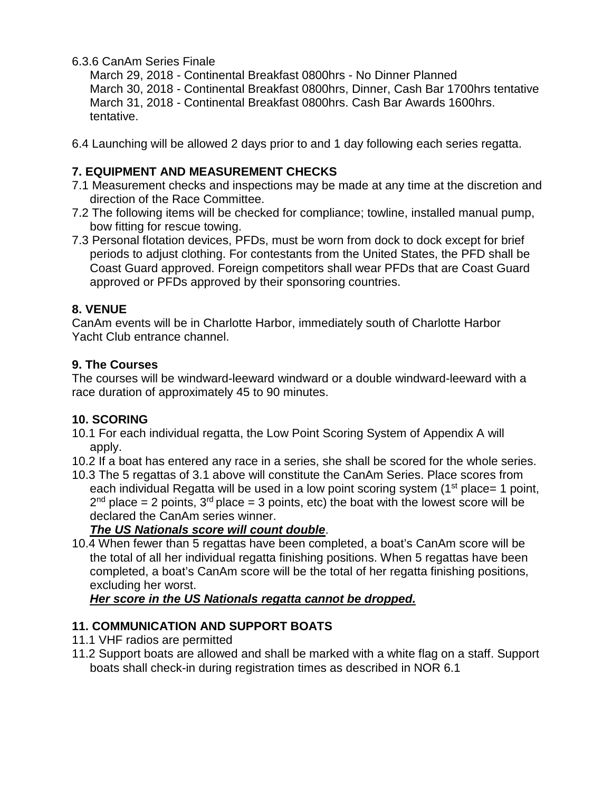### 6.3.6 CanAm Series Finale

March 29, 2018 - Continental Breakfast 0800hrs - No Dinner Planned March 30, 2018 - Continental Breakfast 0800hrs, Dinner, Cash Bar 1700hrs tentative March 31, 2018 - Continental Breakfast 0800hrs. Cash Bar Awards 1600hrs. tentative.

6.4 Launching will be allowed 2 days prior to and 1 day following each series regatta.

## **7. EQUIPMENT AND MEASUREMENT CHECKS**

- 7.1 Measurement checks and inspections may be made at any time at the discretion and direction of the Race Committee.
- 7.2 The following items will be checked for compliance; towline, installed manual pump, bow fitting for rescue towing.
- 7.3 Personal flotation devices, PFDs, must be worn from dock to dock except for brief periods to adjust clothing. For contestants from the United States, the PFD shall be Coast Guard approved. Foreign competitors shall wear PFDs that are Coast Guard approved or PFDs approved by their sponsoring countries.

## **8. VENUE**

CanAm events will be in Charlotte Harbor, immediately south of Charlotte Harbor Yacht Club entrance channel.

### **9. The Courses**

The courses will be windward-leeward windward or a double windward-leeward with a race duration of approximately 45 to 90 minutes.

## **10. SCORING**

- 10.1 For each individual regatta, the Low Point Scoring System of Appendix A will apply.
- 10.2 If a boat has entered any race in a series, she shall be scored for the whole series.
- 10.3 The 5 regattas of 3.1 above will constitute the CanAm Series. Place scores from each individual Regatta will be used in a low point scoring system  $(1<sup>st</sup>$  place= 1 point,  $2<sup>nd</sup>$  place = 2 points,  $3<sup>rd</sup>$  place = 3 points, etc) the boat with the lowest score will be declared the CanAm series winner.

# *The US Nationals score will count double*.

10.4 When fewer than 5 regattas have been completed, a boat's CanAm score will be the total of all her individual regatta finishing positions. When 5 regattas have been completed, a boat's CanAm score will be the total of her regatta finishing positions, excluding her worst.

## *Her score in the US Nationals regatta cannot be dropped.*

# **11. COMMUNICATION AND SUPPORT BOATS**

- 11.1 VHF radios are permitted
- 11.2 Support boats are allowed and shall be marked with a white flag on a staff. Support boats shall check-in during registration times as described in NOR 6.1